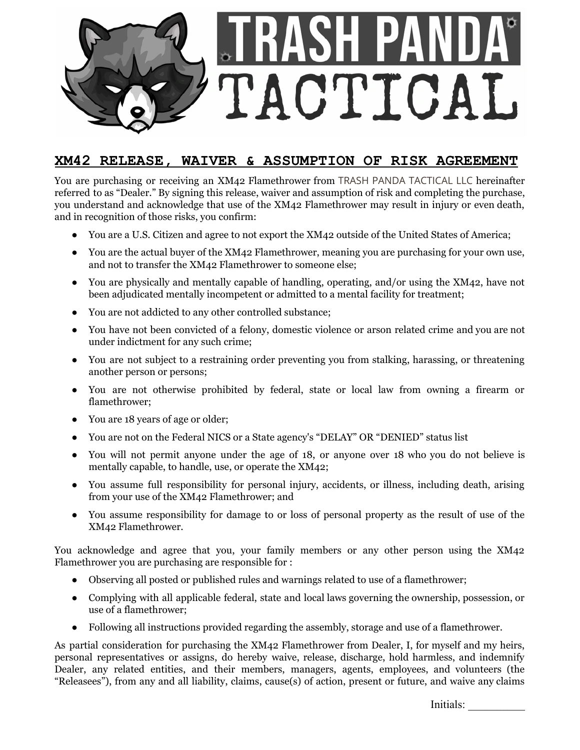

## **XM42 RELEASE, WAIVER & ASSUMPTION OF RISK AGREEMENT**

You are purchasing or receiving an XM42 Flamethrower from TRASH PANDA TACTICAL LLC hereinafter referred to as "Dealer." By signing this release, waiver and assumption of risk and completing the purchase, you understand and acknowledge that use of the XM42 Flamethrower may result in injury or even death, and in recognition of those risks, you confirm:

- You are a U.S. Citizen and agree to not export the XM42 outside of the United States of America;
- You are the actual buyer of the XM42 Flamethrower, meaning you are purchasing for your own use, and not to transfer the XM42 Flamethrower to someone else;
- You are physically and mentally capable of handling, operating, and/or using the XM42, have not been adjudicated mentally incompetent or admitted to a mental facility for treatment;
- You are not addicted to any other controlled substance;
- You have not been convicted of a felony, domestic violence or arson related crime and you are not under indictment for any such crime;
- You are not subject to a restraining order preventing you from stalking, harassing, or threatening another person or persons;
- You are not otherwise prohibited by federal, state or local law from owning a firearm or flamethrower;
- You are 18 years of age or older;
- You are not on the Federal NICS or a State agency's "DELAY" OR "DENIED" status list
- You will not permit anyone under the age of 18, or anyone over 18 who you do not believe is mentally capable, to handle, use, or operate the XM42;
- You assume full responsibility for personal injury, accidents, or illness, including death, arising from your use of the XM42 Flamethrower; and
- You assume responsibility for damage to or loss of personal property as the result of use of the XM42 Flamethrower.

You acknowledge and agree that you, your family members or any other person using the XM42 Flamethrower you are purchasing are responsible for :

- Observing all posted or published rules and warnings related to use of a flamethrower;
- Complying with all applicable federal, state and local laws governing the ownership, possession, or use of a flamethrower;
- Following all instructions provided regarding the assembly, storage and use of a flamethrower.

As partial consideration for purchasing the XM42 Flamethrower from Dealer, I, for myself and my heirs, personal representatives or assigns, do hereby waive, release, discharge, hold harmless, and indemnify Dealer, any related entities, and their members, managers, agents, employees, and volunteers (the "Releasees"), from any and all liability, claims, cause(s) of action, present or future, and waive any claims

Initials: